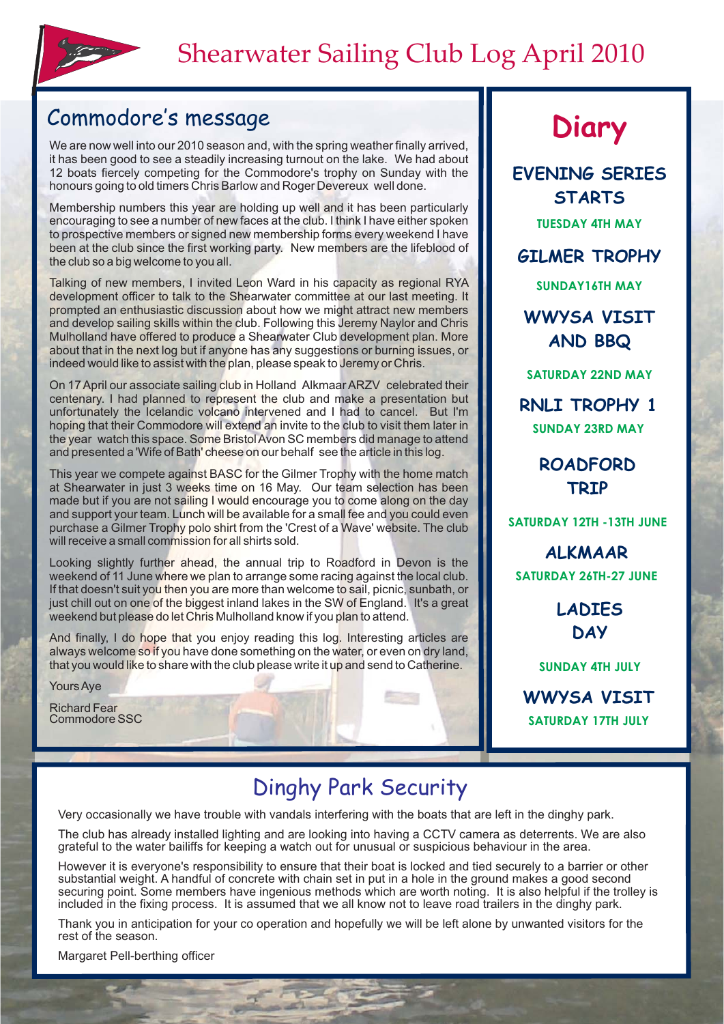

# Commodore's message **Diary**

We are now well into our 2010 season and, with the spring weather finally arrived. it has been good to see a steadily increasing turnout on the lake. We had about 12 boats fiercely competing for the Commodore's trophy on Sunday with the honours going to old timers Chris Barlow and Roger Devereux well done.

Membership numbers this year are holding up well and it has been particularly encouraging to see a number of new faces at the club. I think I have either spoken to prospective members or signed new membership forms every weekend I have been at the club since the first working party. New members are the lifeblood of the club so a big welcome to you all.

Talking of new members, I invited Leon Ward in his capacity as regional RYA development officer to talk to the Shearwater committee at our last meeting. It prompted an enthusiastic discussion about how we might attract new members and develop sailing skills within the club. Following this Jeremy Naylor and Chris Mulholland have offered to produce a Shearwater Club development plan. More about that in the next log but if anyone has any suggestions or burning issues, or indeed would like to assist with the plan, please speak to Jeremy or Chris.

On 17 April our associate sailing club in Holland Alkmaar ARZV celebrated their centenary. I had planned to represent the club and make a presentation but unfortunately the Icelandic volcano intervened and I had to cancel. But I'm hoping that their Commodore will extend an invite to the club to visit them later in the year watch this space. Some BristolAvon SC members did manage to attend and presented a 'Wife of Bath' cheese on our behalf see the article in this log.

This year we compete against BASC for the Gilmer Trophy with the home match at Shearwater in just 3 weeks time on 16 May. Our team selection has been made but if you are not sailing I would encourage you to come along on the day and support your team. Lunch will be available for a small fee and you could even purchase a Gilmer Trophy polo shirt from the 'Crest of a Wave' website. The club will receive a small commission for all shirts sold.

Looking slightly further ahead, the annual trip to Roadford in Devon is the weekend of 11 June where we plan to arrange some racing against the local club. If that doesn't suit you then you are more than welcome to sail, picnic, sunbath, or just chill out on one of the biggest inland lakes in the SW of England. It's a great weekend but please do let Chris Mulholland know if you plan to attend.

And finally, I do hope that you enjoy reading this log. Interesting articles are always welcome so if you have done something on the water, or even on dry land, that you would like to share with the club please write it up and send to Catherine.

YoursAye

Richard Fear Commodore SSC

**TUESDAY 4TH MAY EVENING SERIES STARTS**

**GILMER TROPHY**

**SUNDAY16TH MAY**

**WWYSA VISIT AND BBQ**

**SATURDAY 22ND MAY**

**SUNDAY 23RD MAY RNLI TROPHY 1**

> **ROADFORD TRIP**

**SATURDAY 12TH -13TH JUNE**

**SATURDAY 26TH-27 JUNE ALKMAAR**

> **LADIES DAY**

**SUNDAY 4TH JULY**

**SATURDAY 17TH JULY WWYSA VISIT**

### Dinghy Park Security

Very occasionally we have trouble with vandals interfering with the boats that are left in the dinghy park.

The club has already installed lighting and are looking into having a CCTV camera as deterrents. We are also grateful to the water bailiffs for keeping a watch out for unusual or suspicious behaviour in the area.

However it is everyone's responsibility to ensure that their boat is locked and tied securely to a barrier or other substantial weight. A handful of concrete with chain set in put in a hole in the ground makes a good second securing point. Some members have ingenious methods which are worth noting. It is also helpful if the trolley is included in the fixing process. It is assumed that we all know not to leave road trailers in the dinghy park.

Thank you in anticipation for your co operation and hopefully we will be left alone by unwanted visitors for the rest of the season.

Margaret Pell-berthing officer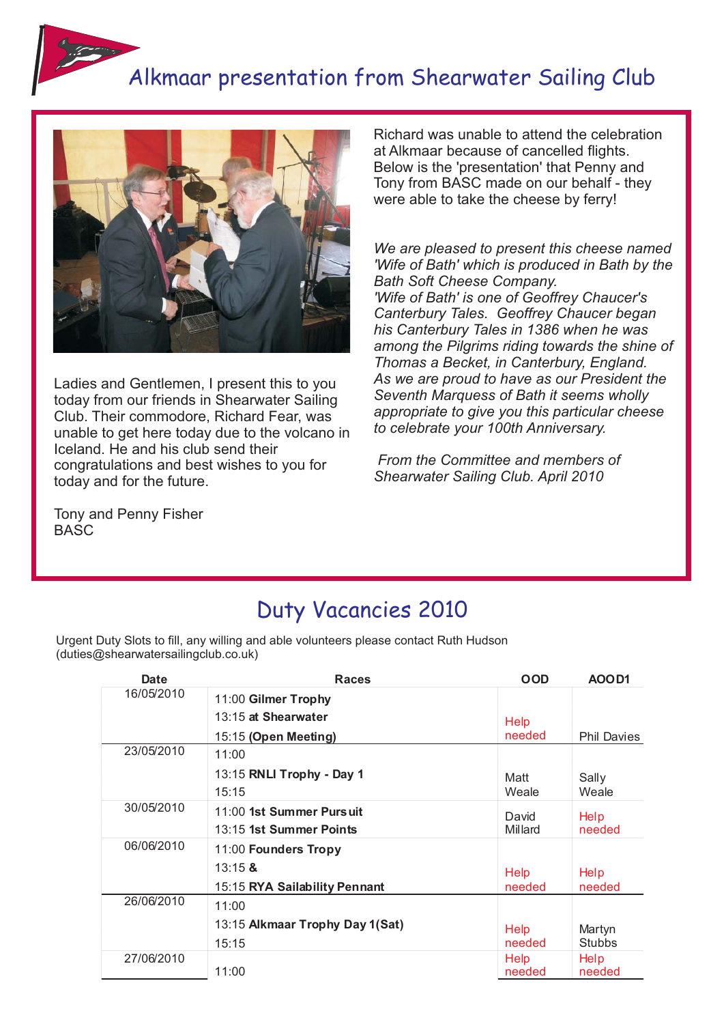# Alkmaar presentation from Shearwater Sailing Club



Ladies and Gentlemen, I present this to you today from our friends in Shearwater Sailing Club. Their commodore, Richard Fear, was unable to get here today due to the volcano in Iceland. He and his club send their congratulations and best wishes to you for today and for the future.

Tony and Penny Fisher BASC

Richard was unable to attend the celebration at Alkmaar because of cancelled flights. Below is the 'presentation' that Penny and Tony from BASC made on our behalf - they were able to take the cheese by ferry!

*We are pleased to present this cheese named 'Wife of Bath' which is produced in Bath by the Bath Soft Cheese Company. 'Wife of Bath' is one of Geoffrey Chaucer's Canterbury Tales. Geoffrey Chaucer began his Canterbury Tales in 1386 when he was among the Pilgrims riding towards the shine of Thomas a Becket, in Canterbury, England. As we are proud to have as our President the Seventh Marquess of Bath it seems wholly appropriate to give you this particular cheese to celebrate your 100th Anniversary.*

*From the Committee and members of Shearwater Sailing Club. April 2010*

#### Duty Vacancies 2010

Urgent Duty Slots to fill, any willing and able volunteers please contact Ruth Hudson (duties@shearwatersailingclub.co.uk)

| Date       | <b>Races</b>                    | <b>OOD</b>            | AOOD1              |
|------------|---------------------------------|-----------------------|--------------------|
| 16/05/2010 | 11:00 Gilmer Trophy             |                       |                    |
|            | 13:15 at Shearwater             | Help                  |                    |
|            | 15:15 (Open Meeting)            | needed                | <b>Phil Davies</b> |
| 23/05/2010 | 11:00                           |                       |                    |
|            | 13:15 RNLI Trophy - Day 1       | Matt                  | Sally              |
|            | 15:15                           | Weale                 | Weale              |
| 30/05/2010 | 11:00 1st Summer Pursuit        | David                 | Help               |
|            | 13:15 1st Summer Points         | Millard               | needed             |
| 06/06/2010 | 11:00 Founders Tropy            |                       |                    |
|            | $13:15$ &                       | Help                  | Help               |
|            | 15:15 RYA Sailability Pennant   | needed                | needed             |
| 26/06/2010 | 11:00                           |                       |                    |
|            | 13:15 Alkmaar Trophy Day 1(Sat) | Help                  | Martyn             |
|            | 15:15                           | needed                | <b>Stubbs</b>      |
| 27/06/2010 | 11:00                           | <b>Help</b><br>needed | Help<br>needed     |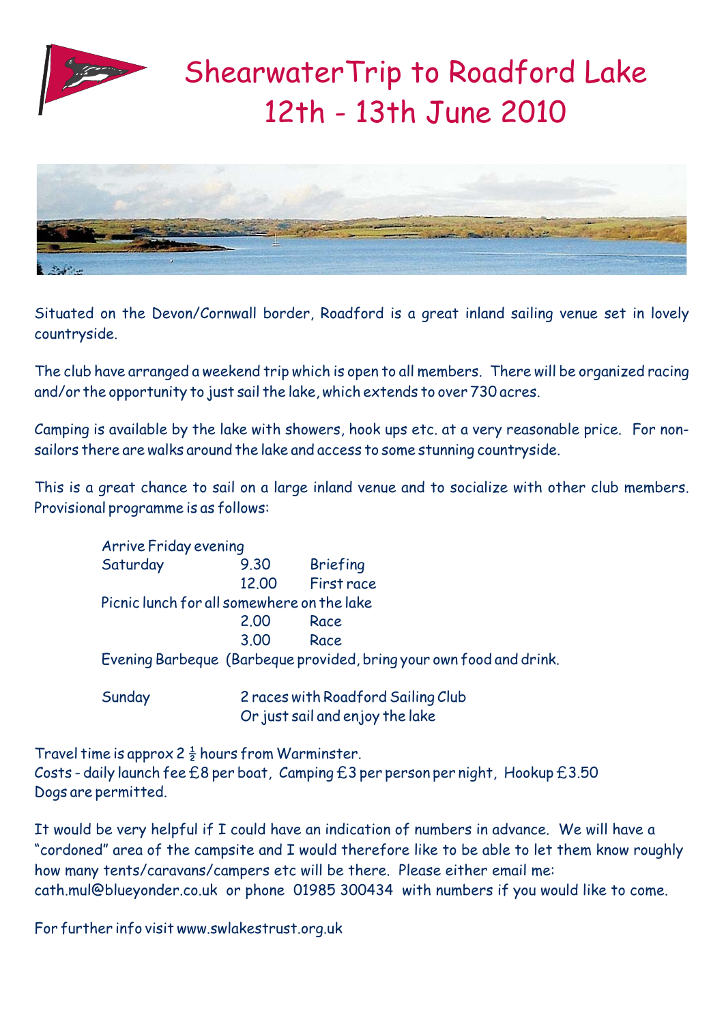



Situated on the Devon/Cornwall border, Roadford is a great inland sailing venue set in lovely countryside.

The club have arranged a weekend trip which is open to all members. There will be organized racing and/or the opportunity to just sail the lake, which extends to over 730 acres.

Camping is available by the lake with showers, hook ups etc. at a very reasonable price. For nonsailors there are walks around the lake and access to some stunning countryside.

This is a great chance to sail on a large inland venue and to socialize with other club members. Provisional programme is as follows:

| <b>Arrive Friday evening</b>               |       |                                                                     |
|--------------------------------------------|-------|---------------------------------------------------------------------|
| Saturday                                   | 9.30  | <b>Briefing</b>                                                     |
|                                            | 12.00 | First race                                                          |
| Picnic lunch for all somewhere on the lake |       |                                                                     |
|                                            | 2.00  | Race                                                                |
|                                            | 3.00  | Race                                                                |
|                                            |       | Evening Barbeque (Barbeque provided, bring your own food and drink. |
| Sunday                                     |       | 2 races with Roadford Sailing Club                                  |
|                                            |       | Or just sail and enjoy the lake                                     |

Travel time is approx  $2\frac{1}{2}$  hours from Warminster. Costs - daily launch fee £8 per boat, Camping £3 per person per night, Hookup £3.50 Dogs are permitted.

It would be very helpful if I could have an indication of numbers in advance. We will have a "cordoned" area of the campsite and I would therefore like to be able to let them know roughly how many tents/caravans/campers etc will be there. Please either email me: cath.mul@blueyonder.co.uk or phone 01985 300434 with numbers if you would like to come.

For further info visit www.swlakestrust.org.uk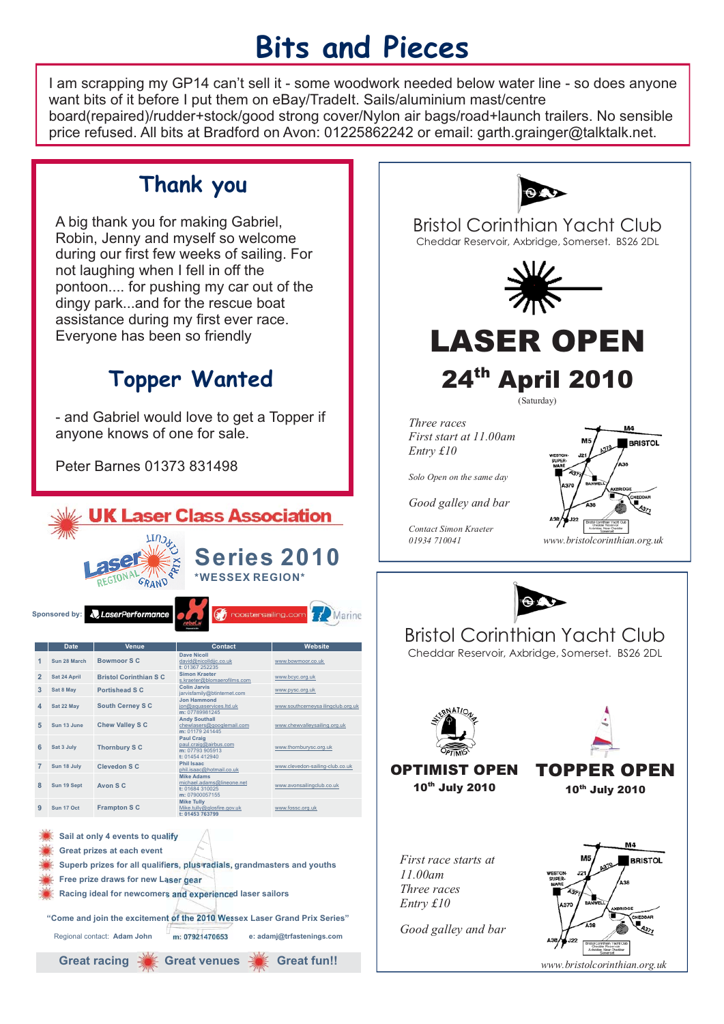# **Bits and Pieces**

I am scrapping my GP14 can't sell it - some woodwork needed below water line - so does anyone want bits of it before I put them on eBay/TradeIt. Sails/aluminium mast/centre board(repaired)/rudder+stock/good strong cover/Nylon air bags/road+launch trailers. No sensible price refused. All bits at Bradford on Avon: 01225862242 or email: garth.grainger@talktalk.net.

### **Thank you**

A big thank you for making Gabriel, Robin, Jenny and myself so welcome during our first few weeks of sailing. For not laughing when I fell in off the pontoon.... for pushing my car out of the dingy park...and for the rescue boat assistance during my first ever race. Everyone has been so friendly

## **Topper Wanted**

- and Gabriel would love to get a Topper if anyone knows of one for sale.

Peter Barnes 01373 831498





*www.bristolcorinthian.org.uk*